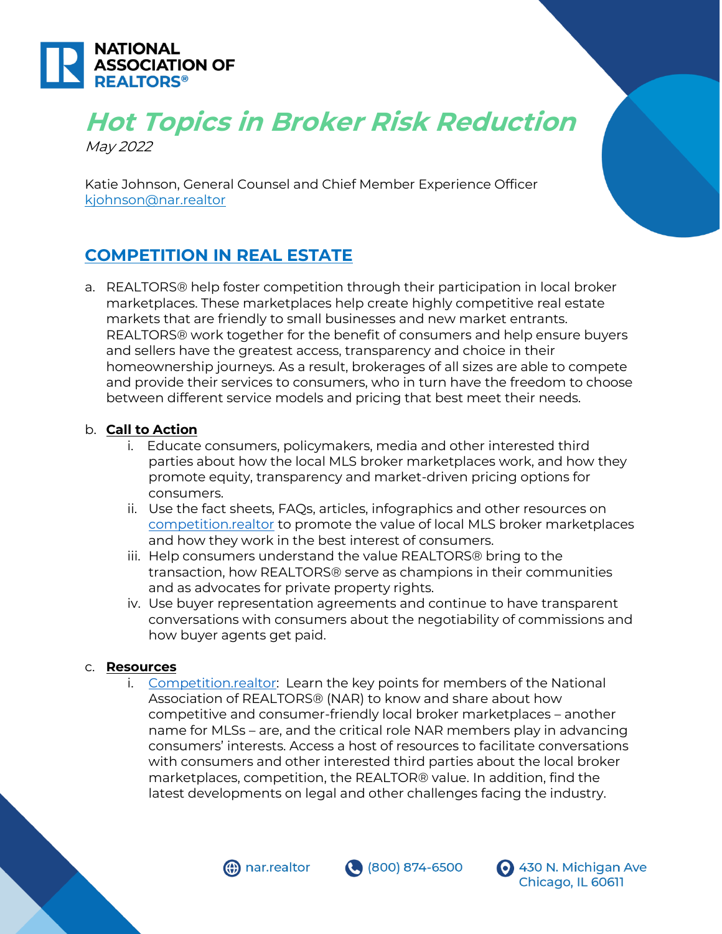

# **Hot Topics in Broker Risk Reduction**

May 2022

Katie Johnson, General Counsel and Chief Member Experience Officer kjohnson@nar.realtor

# **COMPETITION IN REAL ESTATE**

a. REALTORS® help foster competition through their participation in local broker marketplaces. These marketplaces help create highly competitive real estate markets that are friendly to small businesses and new market entrants. REALTORS® work together for the benefit of consumers and help ensure buyers and sellers have the greatest access, transparency and choice in their homeownership journeys. As a result, brokerages of all sizes are able to compete and provide their services to consumers, who in turn have the freedom to choose between different service models and pricing that best meet their needs.

## b. **Call to Action**

- i. Educate consumers, policymakers, media and other interested third parties about how the local MLS broker marketplaces work, and how they promote equity, transparency and market-driven pricing options for consumers.
- ii. Use the fact sheets, FAQs, articles, infographics and other resources on [competition.realtor](https://www.nar.realtor/competition-in-real-estate) to promote the value of local MLS broker marketplaces and how they work in the best interest of consumers.
- iii. Help consumers understand the value REALTORS® bring to the transaction, how REALTORS® serve as champions in their communities and as advocates for private property rights.
- iv. Use buyer representation agreements and continue to have transparent conversations with consumers about the negotiability of commissions and how buyer agents get paid.

#### c. **Resources**

i. [Competition.realtor:](https://www.nar.realtor/competition-in-real-estate) Learn the key points for members of the National Association of REALTORS® (NAR) to know and share about how competitive and consumer-friendly local broker marketplaces – another name for MLSs – are, and the critical role NAR members play in advancing consumers' interests. Access a host of resources to facilitate conversations with consumers and other interested third parties about the local broker marketplaces, competition, the REALTOR® value. In addition, find the latest developments on legal and other challenges facing the industry.





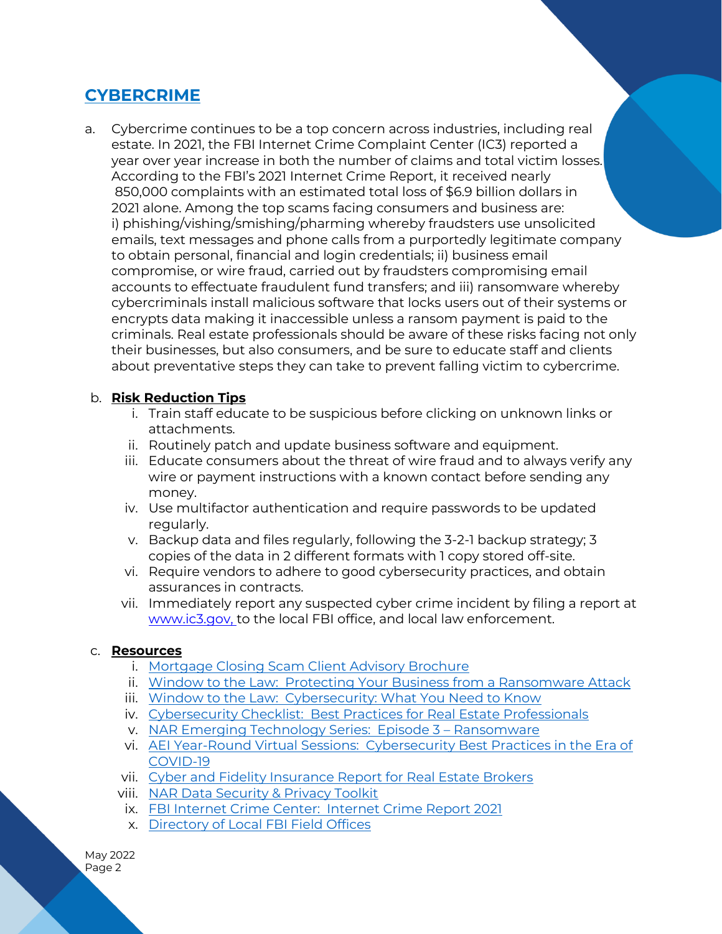# **CYBERCRIME**

a. Cybercrime continues to be a top concern across industries, including real estate. In 2021, the FBI Internet Crime Complaint Center (IC3) reported a year over year increase in both the number of claims and total victim losses. According to the FBI's 2021 Internet Crime Report, it received nearly 850,000 complaints with an estimated total loss of \$6.9 billion dollars in 2021 alone. Among the top scams facing consumers and business are: i) phishing/vishing/smishing/pharming whereby fraudsters use unsolicited emails, text messages and phone calls from a purportedly legitimate company to obtain personal, financial and login credentials; ii) business email compromise, or wire fraud, carried out by fraudsters compromising email accounts to effectuate fraudulent fund transfers; and iii) ransomware whereby cybercriminals install malicious software that locks users out of their systems or encrypts data making it inaccessible unless a ransom payment is paid to the criminals. Real estate professionals should be aware of these risks facing not only their businesses, but also consumers, and be sure to educate staff and clients about preventative steps they can take to prevent falling victim to cybercrime.

## b. **Risk Reduction Tips**

- i. Train staff educate to be suspicious before clicking on unknown links or attachments.
- ii. Routinely patch and update business software and equipment.
- iii. Educate consumers about the threat of wire fraud and to always verify any wire or payment instructions with a known contact before sending any money.
- iv. Use multifactor authentication and require passwords to be updated regularly.
- v. Backup data and files regularly, following the 3-2-1 backup strategy; 3 copies of the data in 2 different formats with 1 copy stored off-site.
- vi. Require vendors to adhere to good cybersecurity practices, and obtain assurances in contracts.
- vii. Immediately report any suspected cyber crime incident by filing a report at [www.ic3.gov,](http://www.ic3.gov/) to the local FBI office, and local law enforcement.

#### c. **Resources**

- i. [Mortgage Closing Scam Client Advisory Brochure](https://store.realtor/mortgage-closing-scam-client-advisory-brochure-download/)
- ii. [Window to the Law: Protecting Your Business from a Ransomware Attack](https://www.nar.realtor/window-to-the-law/protecting-from-ransomware-attack)
- iii. [Window to the Law: Cybersecurity: What You Need to Know](https://www.nar.realtor/videos/pivot-in-place/cybersecurity-what-you-need-to-know)
- iv. [Cybersecurity Checklist: Best Practices for Real Estate Professionals](https://www.nar.realtor/law-and-ethics/cybersecurity-checklist-best-practices-for-real-estate-professionals)
- v. [NAR Emerging Technology Series: Episode 3](https://www.nar.realtor/blogs/emerging-technology/episode-3-ransomware)  Ransomware
- vi. [AEI Year-Round Virtual Sessions: Cybersecurity Best Practices in the Era of](https://www.nar.realtor/aei-year-round-virtual-sessions/cybersecurity-best-practices-in-the-era-of-covid-19)  [COVID-19](https://www.nar.realtor/aei-year-round-virtual-sessions/cybersecurity-best-practices-in-the-era-of-covid-19)
- vii. [Cyber and Fidelity Insurance Report for Real Estate Brokers](https://www.nar.realtor/reports/cyber-and-fidelity-insurance-report)
- viii. [NAR Data Security & Privacy Toolkit](https://www.nar.realtor/data-privacy-security/nars-data-security-and-privacy-toolkit)
- ix. [FBI Internet Crime Center: Internet Crime Report 2021](https://www.ic3.gov/Media/PDF/AnnualReport/2021_IC3Report.pdf)
- x. [Directory of Local FBI Field Offices](https://www.fbi.gov/contact-us/field-offices)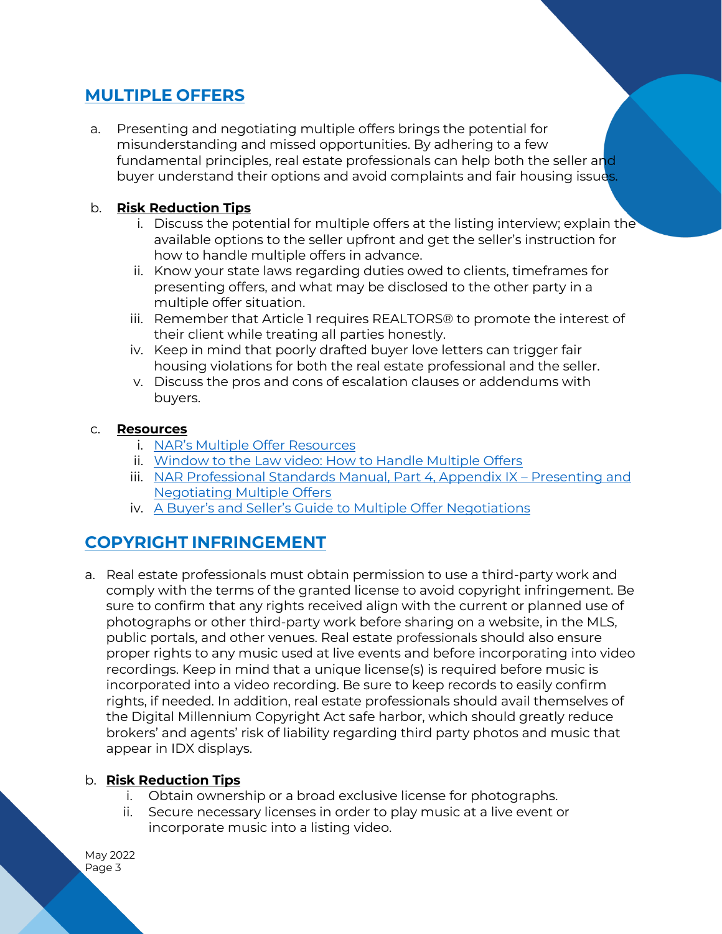# **MULTIPLE OFFERS**

a. Presenting and negotiating multiple offers brings the potential for misunderstanding and missed opportunities. By adhering to a few fundamental principles, real estate professionals can help both the seller and buyer understand their options and avoid complaints and fair housing issues.

## b. **Risk Reduction Tips**

- i. Discuss the potential for multiple offers at the listing interview; explain the available options to the seller upfront and get the seller's instruction for how to handle multiple offers in advance.
- ii. Know your state laws regarding duties owed to clients, timeframes for presenting offers, and what may be disclosed to the other party in a multiple offer situation.
- iii. Remember that Article 1 requires REALTORS® to promote the interest of their client while treating all parties honestly.
- iv. Keep in mind that poorly drafted buyer love letters can trigger fair housing violations for both the real estate professional and the seller.
- v. Discuss the pros and cons of escalation clauses or addendums with buyers.

## c. **Resources**

- i. [NAR's Multiple Offer Resources](https://www.nar.realtor/multiple-offers)
- ii. [Window to the Law video: How to Handle Multiple Offers](https://www.nar.realtor/videos/window-to-the-law/how-to-handle-multiple-offers)
- iii. [NAR Professional Standards Manual, Part 4, Appendix IX](https://www.nar.realtor/code-of-ethics-and-arbitration-manual/part-4-appendix-ix-%E2%80%94-presenting-and-negotiating-multiple-offers)  Presenting and [Negotiating Multiple Offers](https://www.nar.realtor/code-of-ethics-and-arbitration-manual/part-4-appendix-ix-%E2%80%94-presenting-and-negotiating-multiple-offers)
- iv. [A Buyer's and Seller's Guide to Multiple Offer Negotiations](https://www.nar.realtor/about-nar/policies/professional-standards-and-code-of-ethics/a-buyers-and-sellers-guide-to-multiple-offer-negotiations)

# **COPYRIGHT INFRINGEMENT**

a. Real estate professionals must obtain permission to use a third-party work and comply with the terms of the granted license to avoid copyright infringement. Be sure to confirm that any rights received align with the current or planned use of photographs or other third-party work before sharing on a website, in the MLS, public portals, and other venues. Real estate professionals should also ensure proper rights to any music used at live events and before incorporating into video recordings. Keep in mind that a unique license(s) is required before music is incorporated into a video recording. Be sure to keep records to easily confirm rights, if needed. In addition, real estate professionals should avail themselves of the Digital Millennium Copyright Act safe harbor, which should greatly reduce brokers' and agents' risk of liability regarding third party photos and music that appear in IDX displays.

## b. **Risk Reduction Tips**

- i. Obtain ownership or a broad exclusive license for photographs.
- ii. Secure necessary licenses in order to play music at a live event or incorporate music into a listing video.

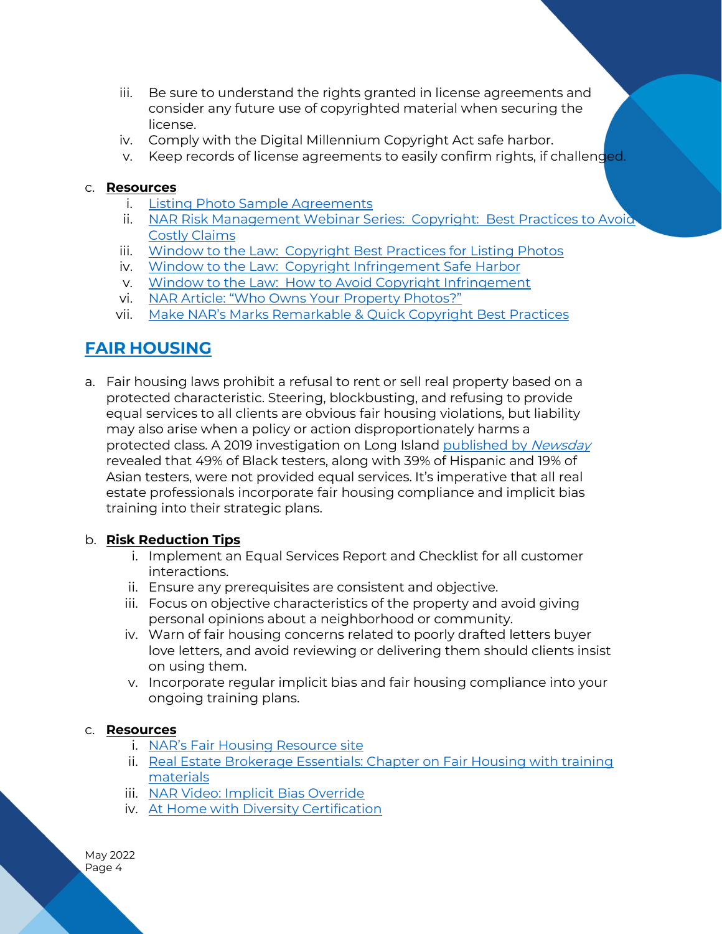- iii. Be sure to understand the rights granted in license agreements and consider any future use of copyrighted material when securing the license.
- iv. Comply with the Digital Millennium Copyright Act safe harbor.
- v. Keep records of license agreements to easily confirm rights, if challenged.

#### c. **Resources**

- i. [Listing Photo Sample Agreements](https://www.nar.realtor/copyright/listing-photo-sample-agreements)
- ii. NAR Risk Management Webinar Series: Copyright: Best Practices to Avoid [Costly Claims](https://www.nar.realtor/videos/risk-management-webinar-series/copyright-best-practices-to-avoid-costly-claims)
- iii. [Window to the Law: Copyright Best Practices for Listing Photos](https://www.nar.realtor/videos/window-to-the-law/copyright-best-practices-for-listing-photos)
- iv. [Window to the Law: Copyright Infringement Safe Harbor](https://www.nar.realtor/videos/window-to-the-law/window-to-the-law-copyright-infringement-safe-harbor)
- v. [Window to the Law: How to Avoid Copyright Infringement](https://www.nar.realtor/videos/window-to-the-law/window-to-the-law-how-to-avoid-copyright-infringement)
- vi. [NAR Article: "Who Owns Your Property Photos?"](https://www.nar.realtor/copyright/who-owns-your-property-photos)
- vii. [Make NAR's Marks Remarkable & Quick Copyright Best Practices](https://www.nar.realtor/videos/make-nars-marks-remarkable-quick-copyright-best-practices)

# **FAIR HOUSING**

a. Fair housing laws prohibit a refusal to rent or sell real property based on a protected characteristic. Steering, blockbusting, and refusing to provide equal services to all clients are obvious fair housing violations, but liability may also arise when a policy or action disproportionately harms a protected class. A 2019 investigation on Long Island [published by](https://projects.newsday.com/long-island/real-estate-agents-investigation/) Newsday revealed that 49% of Black testers, along with 39% of Hispanic and 19% of Asian testers, were not provided equal services. It's imperative that all real estate professionals incorporate fair housing compliance and implicit bias training into their strategic plans.

## b. **Risk Reduction Tips**

- i. Implement an Equal Services Report and Checklist for all customer interactions.
- ii. Ensure any prerequisites are consistent and objective.
- iii. Focus on objective characteristics of the property and avoid giving personal opinions about a neighborhood or community.
- iv. Warn of fair housing concerns related to poorly drafted letters buyer love letters, and avoid reviewing or delivering them should clients insist on using them.
- v. Incorporate regular implicit bias and fair housing compliance into your ongoing training plans.

#### c. **Resources**

- i. [NAR's Fair Housing Resource site](https://www.nar.realtor/fair-housing)
- ii. [Real Estate Brokerage Essentials: Chapter on Fair Housing with training](https://www.nar.realtor/fair-housing/excerpt-from-real-estate-brokerage-essentials)  [materials](https://www.nar.realtor/fair-housing/excerpt-from-real-estate-brokerage-essentials)
- iii. [NAR Video: Implicit Bias Override](https://www.nar.realtor/videos/bias-override-overcoming-barriers-to-fair-housing)
- iv. [At Home with Diversity Certification](https://www.nar.realtor/education/designations-and-certifications/ahwd)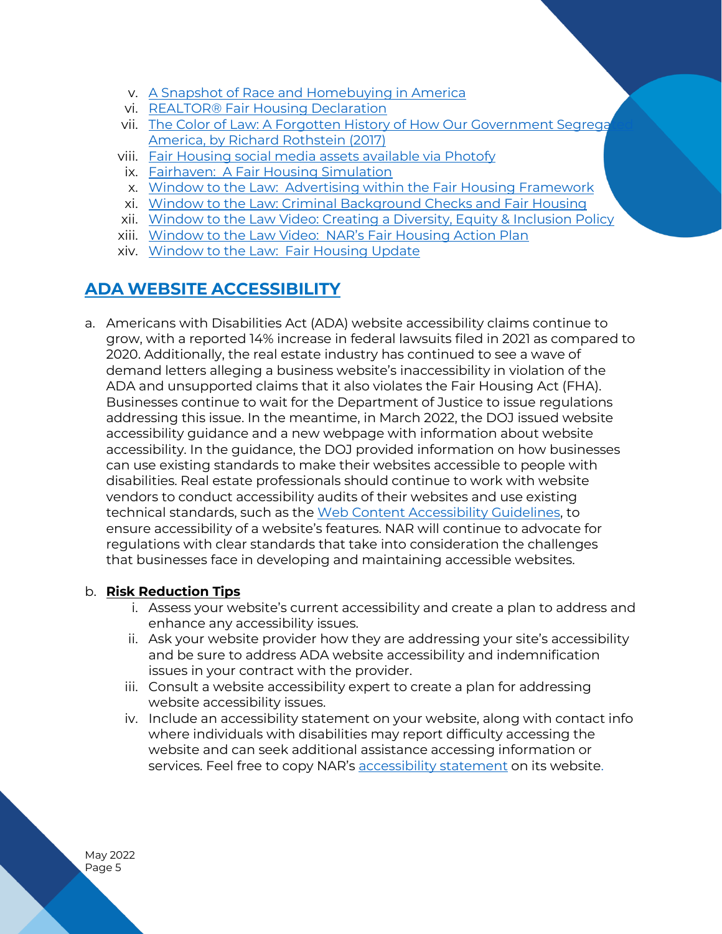- v. [A Snapshot of Race and Homebuying in America](https://www.nar.realtor/research-and-statistics/research-reports/a-snapshot-of-race-and-homebuying-in-america)
- vi. [REALTOR® Fair Housing Declaration](https://www.nar.realtor/fair-housing/fair-housing-program/fair-housing-declaration)
- vii. The Color of Law: A Forgotten History of How Our Government Segrega [America, by Richard Rothstein \(2017\)](https://www.nar.realtor/blogs/culture-scan/uncovering-the-government-s-role-in-the-history-of-u-s-segregation)
- viii. [Fair Housing social media assets available via Photofy](https://www.nar.realtor/thats-who-we-r/fair-housing-assets)
- ix. [Fairhaven: A Fair Housing Simulation](https://www.nar.realtor/fair-housing/fairhaven)
- x. [Window to the Law: Advertising within the Fair Housing](https://www.nar.realtor/videos/window-to-the-law/advertising-fair-housing-framework) Framework
- xi. [Window to the Law: Criminal Background Checks and Fair Housing](https://www.nar.realtor/window-to-the-law/criminal-background-checks-fair-housing)
- xii. [Window to the Law Video: Creating a Diversity, Equity & Inclusion Policy](https://www.nar.realtor/window-to-the-law/creating-diversity-equity-inclusion-policy)
- xiii. [Window to the Law Video: NAR's Fair Housing Action Plan](https://www.nar.realtor/videos/window-to-the-law/nars-fair-housing-action-plan)
- xiv. [Window to the Law: Fair Housing Update](https://www.nar.realtor/window-to-the-law/fair-housing-update)

# **ADA WEBSITE ACCESSIBILITY**

a. Americans with Disabilities Act (ADA) website accessibility claims continue to grow, with a reported 14% increase in federal lawsuits filed in 2021 as compared to 2020. Additionally, the real estate industry has continued to see a wave of demand letters alleging a business website's inaccessibility in violation of the ADA and unsupported claims that it also violates the Fair Housing Act (FHA). Businesses continue to wait for the Department of Justice to issue regulations addressing this issue. In the meantime, in March 2022, the DOJ issued website accessibility guidance and a new webpage with information about website accessibility. In the guidance, the DOJ provided information on how businesses can use existing standards to make their websites accessible to people with disabilities. Real estate professionals should continue to work with website vendors to conduct accessibility audits of their websites and use existing technical standards, such as the [Web Content Accessibility Guidelines,](https://www.w3.org/WAI/standards-guidelines/wcag/) to ensure accessibility of a website's features. NAR will continue to advocate for regulations with clear standards that take into consideration the challenges that businesses face in developing and maintaining accessible websites.

## b. **Risk Reduction Tips**

- i. Assess your website's current accessibility and create a plan to address and enhance any accessibility issues.
- ii. Ask your website provider how they are addressing your site's accessibility and be sure to address ADA website accessibility and indemnification issues in your contract with the provider.
- iii. Consult a website accessibility expert to create a plan for addressing website accessibility issues.
- iv. Include an accessibility statement on your website, along with contact info where individuals with disabilities may report difficulty accessing the website and can seek additional assistance accessing information or services. Feel free to copy NAR's [accessibility statement](https://www.nar.realtor/accessibility) on its website.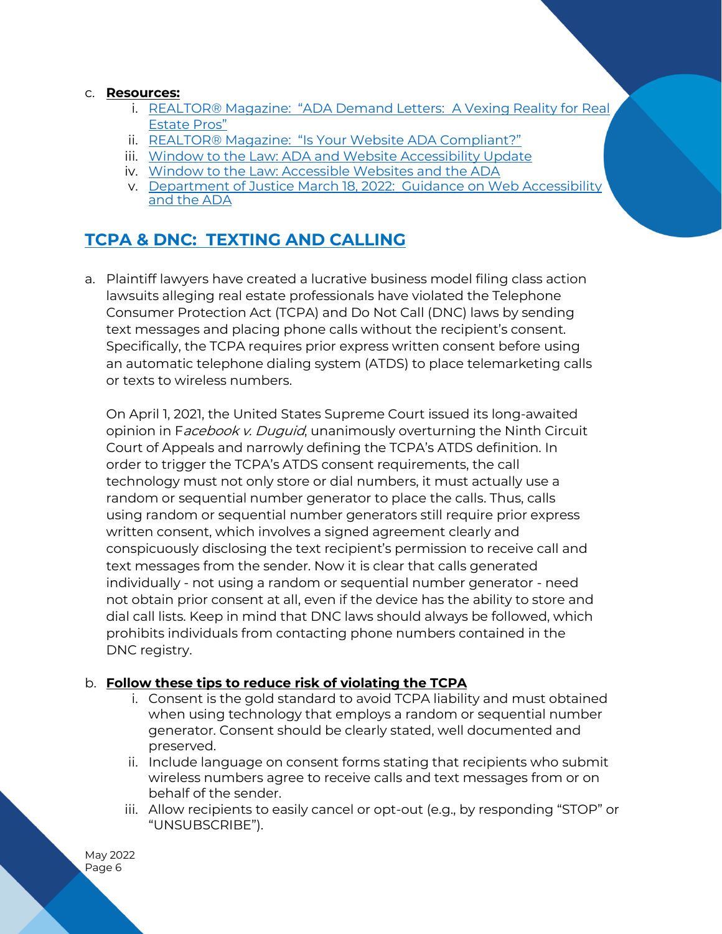#### c. **Resources:**

- i. [REALTOR® Magazine: "ADA Demand Letters:](https://magazine.realtor/law-and-ethics/feature/article/2021/04/ada-demand-letters-a-vexing-reality-for-real-estate-pros) A Vexing Reality for Real [Estate Pros"](https://magazine.realtor/law-and-ethics/feature/article/2021/04/ada-demand-letters-a-vexing-reality-for-real-estate-pros)
- ii. [REALTOR® Magazine: "Is Your Website ADA Compliant?"](https://magazine.realtor/technology/feature/article/2016/04/is-your-website-ada-compliant)
- iii. [Window to the Law: ADA and Website Accessibility Update](https://www.nar.realtor/window-to-the-law/ada-and-website-accessibility-update)
- iv. [Window to the Law: Accessible Websites and the ADA](https://www.nar.realtor/window-to-the-law/window-to-the-law-accessible-websites-and-the-ada)
- v. [Department of Justice March 18, 2022: Guidance on Web Accessibility](https://beta.ada.gov/web-guidance/)  [and the ADA](https://beta.ada.gov/web-guidance/)

# **TCPA & DNC: TEXTING AND CALLING**

a. Plaintiff lawyers have created a lucrative business model filing class action lawsuits alleging real estate professionals have violated the Telephone Consumer Protection Act (TCPA) and Do Not Call (DNC) laws by sending text messages and placing phone calls without the recipient's consent. Specifically, the TCPA requires prior express written consent before using an automatic telephone dialing system (ATDS) to place telemarketing calls or texts to wireless numbers.

On April 1, 2021, the United States Supreme Court issued its long-awaited opinion in Facebook v. Duguid, unanimously overturning the Ninth Circuit Court of Appeals and narrowly defining the TCPA's ATDS definition. In order to trigger the TCPA's ATDS consent requirements, the call technology must not only store or dial numbers, it must actually use a random or sequential number generator to place the calls. Thus, calls using random or sequential number generators still require prior express written consent, which involves a signed agreement clearly and conspicuously disclosing the text recipient's permission to receive call and text messages from the sender. Now it is clear that calls generated individually - not using a random or sequential number generator - need not obtain prior consent at all, even if the device has the ability to store and dial call lists. Keep in mind that DNC laws should always be followed, which prohibits individuals from contacting phone numbers contained in the DNC registry.

## b. **Follow these tips to reduce risk of violating the TCPA**

- i. Consent is the gold standard to avoid TCPA liability and must obtained when using technology that employs a random or sequential number generator. Consent should be clearly stated, well documented and preserved.
- ii. Include language on consent forms stating that recipients who submit wireless numbers agree to receive calls and text messages from or on behalf of the sender.
- iii. Allow recipients to easily cancel or opt-out (e.g., by responding "STOP" or "UNSUBSCRIBE").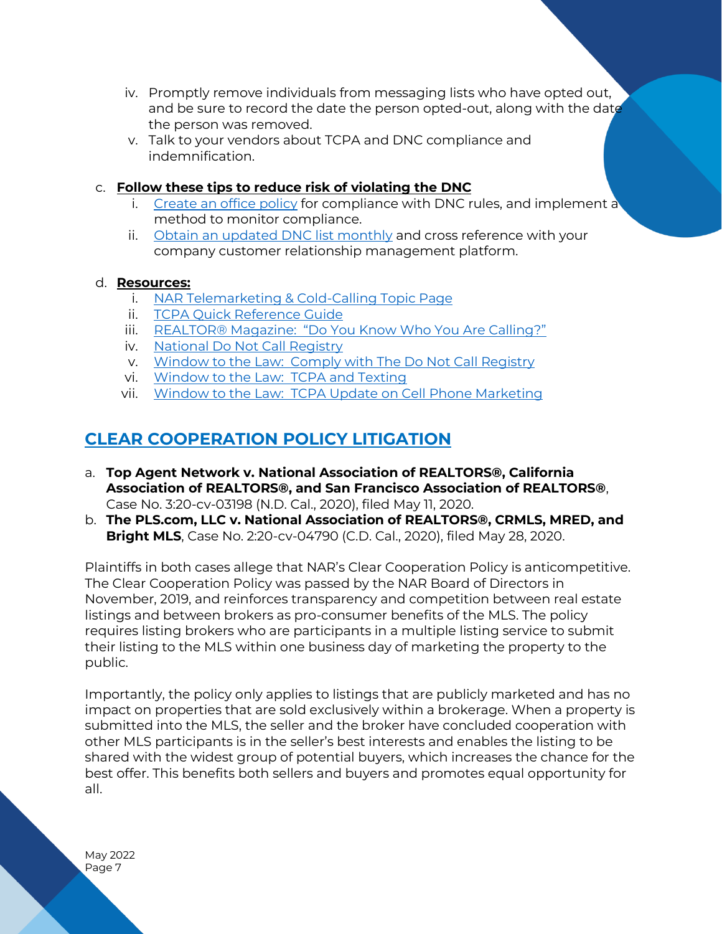- iv. Promptly remove individuals from messaging lists who have opted out, and be sure to record the date the person opted-out, along with the date the person was removed.
- v. Talk to your vendors about TCPA and DNC compliance and indemnification.

## c. **Follow these tips to reduce risk of violating the DNC**

- i. [Create an office policy](https://www.nar.realtor/legal/complying-with-federal-regulations/do-not-call-registry/creating-an-office-policy) for compliance with DNC rules, and implement a method to monitor compliance.
- ii. [Obtain an updated DNC list monthly](https://www.nar.realtor/legal/complying-with-federal-regulations/do-not-call-registry/accessing-the-registry) and cross reference with your company customer relationship management platform.

#### d. **Resources:**

- i. [NAR Telemarketing & Cold-Calling Topic Page](https://www.nar.realtor/telemarketing-cold-calling)
- ii. [TCPA Quick Reference Guide](https://www.nar.realtor/references-150)
- iii. [REALTOR® Magazine: "Do You Know Who You Are Calling?"](https://magazine.realtor/law-and-ethics/feature/article/2019/07/do-you-know-who-you-are-calling)
- iv. [National Do Not Call Registry](https://www.donotcall.gov/)
- v. [Window to the Law: Comply with The Do Not Call Registry](https://www.nar.realtor/window-to-the-law/comply-with-the-do-not-call-registry)
- vi. Window [to the Law: TCPA and Texting](https://www.nar.realtor/videos/window-to-the-law/window-to-the-law-tcpa-and-texting)
- vii. [Window to the Law: TCPA Update on Cell Phone Marketing](https://www.nar.realtor/window-to-the-law/tpca-update-on-cell-phone-marketing)

# **CLEAR COOPERATION POLICY LITIGATION**

- a. **Top Agent Network v. National Association of REALTORS®, California Association of REALTORS®, and San Francisco Association of REALTORS®**, Case No. 3:20-cv-03198 (N.D. Cal., 2020), filed May 11, 2020.
- b. **The PLS.com, LLC v. National Association of REALTORS®, CRMLS, MRED, and Bright MLS**, Case No. 2:20-cv-04790 (C.D. Cal., 2020), filed May 28, 2020.

Plaintiffs in both cases allege that NAR's Clear Cooperation Policy is anticompetitive. The Clear Cooperation Policy was passed by the NAR Board of Directors in November, 2019, and reinforces transparency and competition between real estate listings and between brokers as pro-consumer benefits of the MLS. The policy requires listing brokers who are participants in a multiple listing service to submit their listing to the MLS within one business day of marketing the property to the public.

Importantly, the policy only applies to listings that are publicly marketed and has no impact on properties that are sold exclusively within a brokerage. When a property is submitted into the MLS, the seller and the broker have concluded cooperation with other MLS participants is in the seller's best interests and enables the listing to be shared with the widest group of potential buyers, which increases the chance for the best offer. This benefits both sellers and buyers and promotes equal opportunity for all.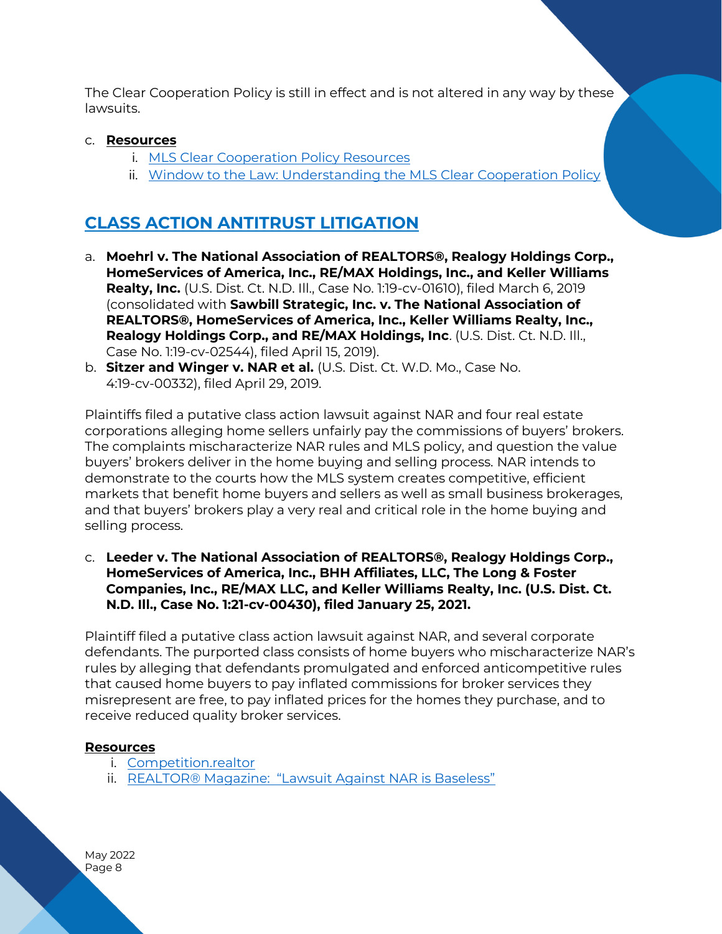The Clear Cooperation Policy is still in effect and is not altered in any way by these lawsuits.

#### c. **Resources**

- i. [MLS Clear Cooperation Policy Resources](https://www.nar.realtor/about-nar/policies/mls-clear-cooperation-policy)
- ii. [Window to the Law: Understanding the MLS Clear Cooperation Policy](https://www.nar.realtor/window-to-the-law/understanding-the-mls-clear-cooperation-policy)

## **CLASS ACTION ANTITRUST LITIGATION**

- a. **Moehrl v. The National Association of REALTORS®, Realogy Holdings Corp., HomeServices of America, Inc., RE/MAX Holdings, Inc., and Keller Williams Realty, Inc.** (U.S. Dist. Ct. N.D. Ill., Case No. 1:19-cv-01610), filed March 6, 2019 (consolidated with **Sawbill Strategic, Inc. v. The National Association of REALTORS®, HomeServices of America, Inc., Keller Williams Realty, Inc., Realogy Holdings Corp., and RE/MAX Holdings, Inc**. (U.S. Dist. Ct. N.D. Ill., Case No. 1:19-cv-02544), filed April 15, 2019).
- b. **Sitzer and Winger v. NAR et al.** (U.S. Dist. Ct. W.D. Mo., Case No. 4:19-cv-00332), filed April 29, 2019.

Plaintiffs filed a putative class action lawsuit against NAR and four real estate corporations alleging home sellers unfairly pay the commissions of buyers' brokers. The complaints mischaracterize NAR rules and MLS policy, and question the value buyers' brokers deliver in the home buying and selling process. NAR intends to demonstrate to the courts how the MLS system creates competitive, efficient markets that benefit home buyers and sellers as well as small business brokerages, and that buyers' brokers play a very real and critical role in the home buying and selling process.

c. **Leeder v. The National Association of REALTORS®, Realogy Holdings Corp., HomeServices of America, Inc., BHH Affiliates, LLC, The Long & Foster Companies, Inc., RE/MAX LLC, and Keller Williams Realty, Inc. (U.S. Dist. Ct. N.D. Ill., Case No. 1:21-cv-00430), filed January 25, 2021.**

Plaintiff filed a putative class action lawsuit against NAR, and several corporate defendants. The purported class consists of home buyers who mischaracterize NAR's rules by alleging that defendants promulgated and enforced anticompetitive rules that caused home buyers to pay inflated commissions for broker services they misrepresent are free, to pay inflated prices for the homes they purchase, and to receive reduced quality broker services.

#### **Resources**

- i. [Competition.realtor](https://www.nar.realtor/competition-in-real-estate)
- ii. [REALTOR® Magazine: "Lawsuit Against NAR is Baseless"](https://magazine.realtor/news-and-commentary/commentary/article/2019/09/lawsuit-against-nar-is-baseless)